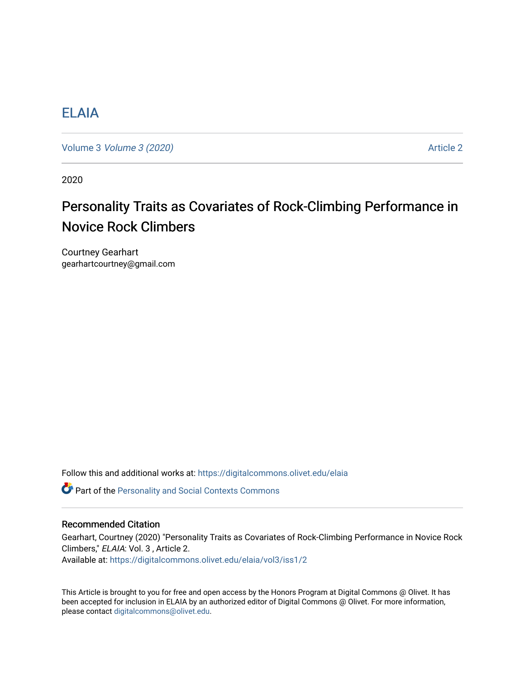# [ELAIA](https://digitalcommons.olivet.edu/elaia)

Volume 3 *Volume 3 (2020)* Article 2

2020

# Personality Traits as Covariates of Rock-Climbing Performance in Novice Rock Climbers

Courtney Gearhart gearhartcourtney@gmail.com

Follow this and additional works at: [https://digitalcommons.olivet.edu/elaia](https://digitalcommons.olivet.edu/elaia?utm_source=digitalcommons.olivet.edu%2Felaia%2Fvol3%2Fiss1%2F2&utm_medium=PDF&utm_campaign=PDFCoverPages)

**C** Part of the [Personality and Social Contexts Commons](http://network.bepress.com/hgg/discipline/413?utm_source=digitalcommons.olivet.edu%2Felaia%2Fvol3%2Fiss1%2F2&utm_medium=PDF&utm_campaign=PDFCoverPages)

## Recommended Citation

Gearhart, Courtney (2020) "Personality Traits as Covariates of Rock-Climbing Performance in Novice Rock Climbers," ELAIA: Vol. 3 , Article 2.

Available at: [https://digitalcommons.olivet.edu/elaia/vol3/iss1/2](https://digitalcommons.olivet.edu/elaia/vol3/iss1/2?utm_source=digitalcommons.olivet.edu%2Felaia%2Fvol3%2Fiss1%2F2&utm_medium=PDF&utm_campaign=PDFCoverPages)

This Article is brought to you for free and open access by the Honors Program at Digital Commons @ Olivet. It has been accepted for inclusion in ELAIA by an authorized editor of Digital Commons @ Olivet. For more information, please contact [digitalcommons@olivet.edu.](mailto:digitalcommons@olivet.edu)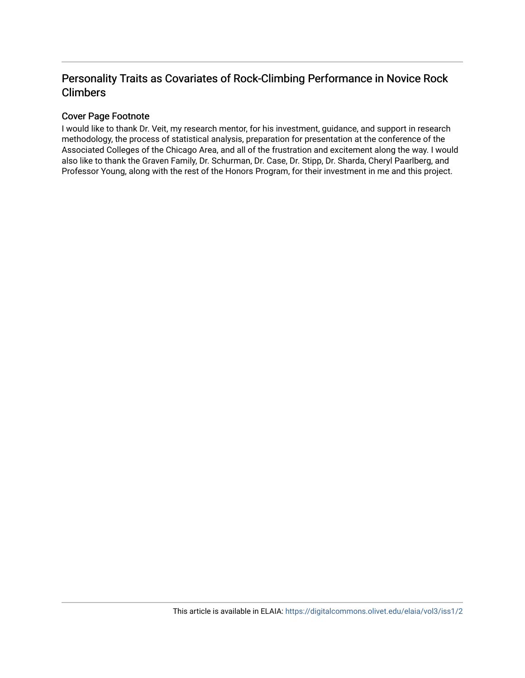# Personality Traits as Covariates of Rock-Climbing Performance in Novice Rock Climbers

# Cover Page Footnote

I would like to thank Dr. Veit, my research mentor, for his investment, guidance, and support in research methodology, the process of statistical analysis, preparation for presentation at the conference of the Associated Colleges of the Chicago Area, and all of the frustration and excitement along the way. I would also like to thank the Graven Family, Dr. Schurman, Dr. Case, Dr. Stipp, Dr. Sharda, Cheryl Paarlberg, and Professor Young, along with the rest of the Honors Program, for their investment in me and this project.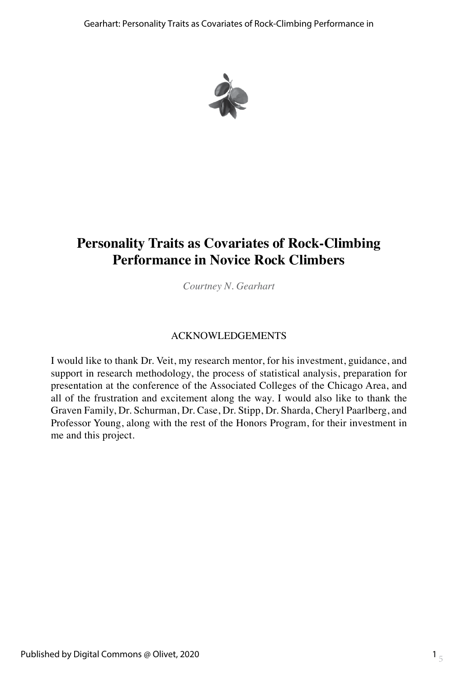

# **Personality Traits as Covariates of Rock-Climbing Performance in Novice Rock Climbers**

*Courtney N. Gearhart*

# ACKNOWLEDGEMENTS

I would like to thank Dr. Veit, my research mentor, for his investment, guidance, and support in research methodology, the process of statistical analysis, preparation for presentation at the conference of the Associated Colleges of the Chicago Area, and all of the frustration and excitement along the way. I would also like to thank the Graven Family, Dr. Schurman, Dr. Case, Dr. Stipp, Dr. Sharda, Cheryl Paarlberg, and Professor Young, along with the rest of the Honors Program, for their investment in me and this project.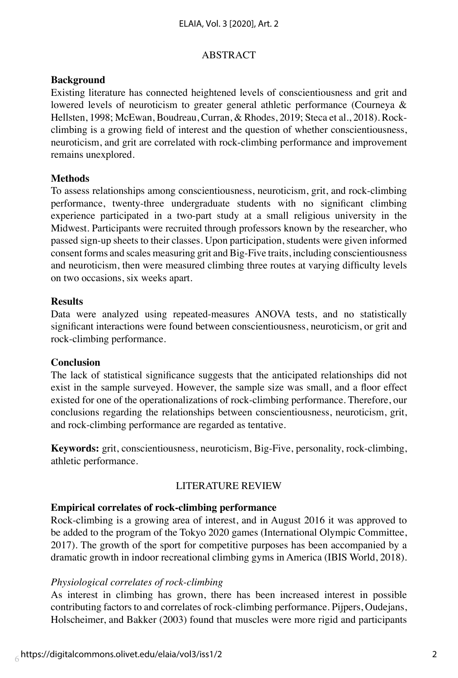#### ABSTRACT

#### **Background**

Existing literature has connected heightened levels of conscientiousness and grit and lowered levels of neuroticism to greater general athletic performance (Courneya & Hellsten, 1998; McEwan, Boudreau, Curran, & Rhodes, 2019; Steca et al., 2018). Rockclimbing is a growing field of interest and the question of whether conscientiousness, neuroticism, and grit are correlated with rock-climbing performance and improvement remains unexplored.

# **Methods**

To assess relationships among conscientiousness, neuroticism, grit, and rock-climbing performance, twenty-three undergraduate students with no significant climbing experience participated in a two-part study at a small religious university in the Midwest. Participants were recruited through professors known by the researcher, who passed sign-up sheets to their classes. Upon participation, students were given informed consent forms and scales measuring grit and Big-Five traits, including conscientiousness and neuroticism, then were measured climbing three routes at varying difficulty levels on two occasions, six weeks apart.

#### **Results**

Data were analyzed using repeated-measures ANOVA tests, and no statistically significant interactions were found between conscientiousness, neuroticism, or grit and rock-climbing performance.

#### **Conclusion**

The lack of statistical significance suggests that the anticipated relationships did not exist in the sample surveyed. However, the sample size was small, and a floor effect existed for one of the operationalizations of rock-climbing performance. Therefore, our conclusions regarding the relationships between conscientiousness, neuroticism, grit, and rock-climbing performance are regarded as tentative.

**Keywords:** grit, conscientiousness, neuroticism, Big-Five, personality, rock-climbing, athletic performance.

# LITERATURE REVIEW

# **Empirical correlates of rock-climbing performance**

Rock-climbing is a growing area of interest, and in August 2016 it was approved to be added to the program of the Tokyo 2020 games (International Olympic Committee, 2017). The growth of the sport for competitive purposes has been accompanied by a dramatic growth in indoor recreational climbing gyms in America (IBIS World, 2018).

#### *Physiological correlates of rock-climbing*

As interest in climbing has grown, there has been increased interest in possible contributing factors to and correlates of rock-climbing performance. Pijpers, Oudejans, Holscheimer, and Bakker (2003) found that muscles were more rigid and participants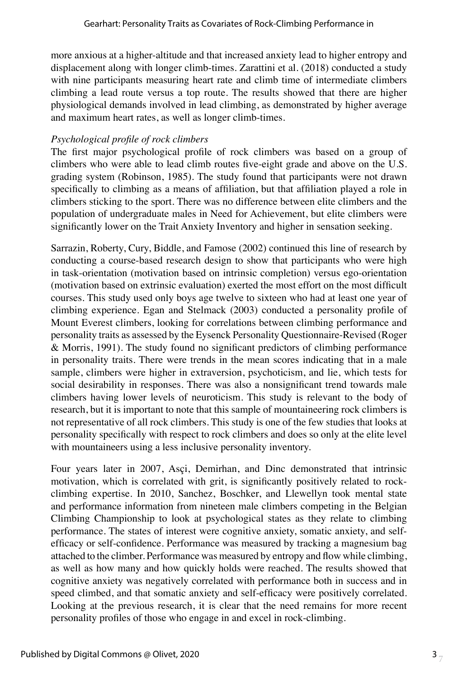more anxious at a higher-altitude and that increased anxiety lead to higher entropy and displacement along with longer climb-times. Zarattini et al. (2018) conducted a study with nine participants measuring heart rate and climb time of intermediate climbers climbing a lead route versus a top route. The results showed that there are higher physiological demands involved in lead climbing, as demonstrated by higher average and maximum heart rates, as well as longer climb-times.

## *Psychological profile of rock climbers*

The first major psychological profile of rock climbers was based on a group of climbers who were able to lead climb routes five-eight grade and above on the U.S. grading system (Robinson, 1985). The study found that participants were not drawn specifically to climbing as a means of affiliation, but that affiliation played a role in climbers sticking to the sport. There was no difference between elite climbers and the population of undergraduate males in Need for Achievement, but elite climbers were significantly lower on the Trait Anxiety Inventory and higher in sensation seeking.

Sarrazin, Roberty, Cury, Biddle, and Famose (2002) continued this line of research by conducting a course-based research design to show that participants who were high in task-orientation (motivation based on intrinsic completion) versus ego-orientation (motivation based on extrinsic evaluation) exerted the most effort on the most difficult courses. This study used only boys age twelve to sixteen who had at least one year of climbing experience. Egan and Stelmack (2003) conducted a personality profile of Mount Everest climbers, looking for correlations between climbing performance and personality traits as assessed by the Eysenck Personality Questionnaire-Revised (Roger & Morris, 1991). The study found no significant predictors of climbing performance in personality traits. There were trends in the mean scores indicating that in a male sample, climbers were higher in extraversion, psychoticism, and lie, which tests for social desirability in responses. There was also a nonsignificant trend towards male climbers having lower levels of neuroticism. This study is relevant to the body of research, but it is important to note that this sample of mountaineering rock climbers is not representative of all rock climbers. This study is one of the few studies that looks at personality specifically with respect to rock climbers and does so only at the elite level with mountaineers using a less inclusive personality inventory.

Four years later in 2007, Asçi, Demirhan, and Dinc demonstrated that intrinsic motivation, which is correlated with grit, is significantly positively related to rockclimbing expertise. In 2010, Sanchez, Boschker, and Llewellyn took mental state and performance information from nineteen male climbers competing in the Belgian Climbing Championship to look at psychological states as they relate to climbing performance. The states of interest were cognitive anxiety, somatic anxiety, and selfefficacy or self-confidence. Performance was measured by tracking a magnesium bag attached to the climber. Performance was measured by entropy and flow while climbing, as well as how many and how quickly holds were reached. The results showed that cognitive anxiety was negatively correlated with performance both in success and in speed climbed, and that somatic anxiety and self-efficacy were positively correlated. Looking at the previous research, it is clear that the need remains for more recent personality profiles of those who engage in and excel in rock-climbing.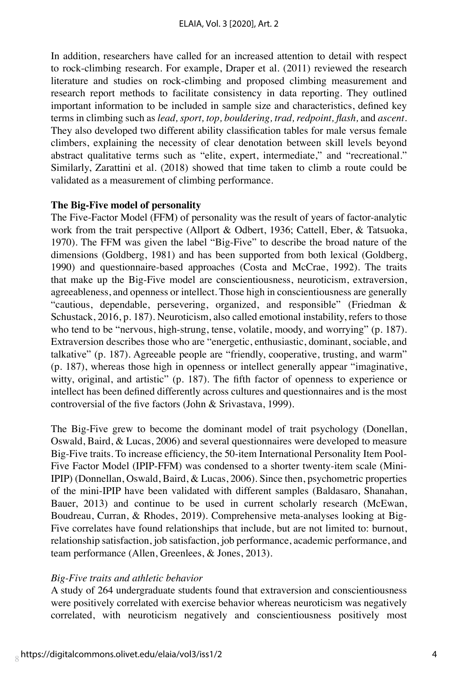In addition, researchers have called for an increased attention to detail with respect to rock-climbing research. For example, Draper et al. (2011) reviewed the research literature and studies on rock-climbing and proposed climbing measurement and research report methods to facilitate consistency in data reporting. They outlined important information to be included in sample size and characteristics, defined key terms in climbing such as *lead, sport, top, bouldering, trad, redpoint, flash,* and *ascent.*  They also developed two different ability classification tables for male versus female climbers, explaining the necessity of clear denotation between skill levels beyond abstract qualitative terms such as "elite, expert, intermediate," and "recreational." Similarly, Zarattini et al. (2018) showed that time taken to climb a route could be validated as a measurement of climbing performance.

### **The Big-Five model of personality**

The Five-Factor Model (FFM) of personality was the result of years of factor-analytic work from the trait perspective (Allport & Odbert, 1936; Cattell, Eber, & Tatsuoka, 1970). The FFM was given the label "Big-Five" to describe the broad nature of the dimensions (Goldberg, 1981) and has been supported from both lexical (Goldberg, 1990) and questionnaire-based approaches (Costa and McCrae, 1992). The traits that make up the Big-Five model are conscientiousness, neuroticism, extraversion, agreeableness, and openness or intellect. Those high in conscientiousness are generally "cautious, dependable, persevering, organized, and responsible" (Friedman & Schustack, 2016, p. 187). Neuroticism, also called emotional instability, refers to those who tend to be "nervous, high-strung, tense, volatile, moody, and worrying" (p. 187). Extraversion describes those who are "energetic, enthusiastic, dominant, sociable, and talkative" (p. 187). Agreeable people are "friendly, cooperative, trusting, and warm" (p. 187), whereas those high in openness or intellect generally appear "imaginative, witty, original, and artistic" (p. 187). The fifth factor of openness to experience or intellect has been defined differently across cultures and questionnaires and is the most controversial of the five factors (John & Srivastava, 1999).

The Big-Five grew to become the dominant model of trait psychology (Donellan, Oswald, Baird, & Lucas, 2006) and several questionnaires were developed to measure Big-Five traits. To increase efficiency, the 50-item International Personality Item Pool-Five Factor Model (IPIP-FFM) was condensed to a shorter twenty-item scale (Mini-IPIP) (Donnellan, Oswald, Baird, & Lucas, 2006). Since then, psychometric properties of the mini-IPIP have been validated with different samples (Baldasaro, Shanahan, Bauer, 2013) and continue to be used in current scholarly research (McEwan, Boudreau, Curran, & Rhodes, 2019). Comprehensive meta-analyses looking at Big-Five correlates have found relationships that include, but are not limited to: burnout, relationship satisfaction, job satisfaction, job performance, academic performance, and team performance (Allen, Greenlees, & Jones, 2013).

# *Big-Five traits and athletic behavior*

A study of 264 undergraduate students found that extraversion and conscientiousness were positively correlated with exercise behavior whereas neuroticism was negatively correlated, with neuroticism negatively and conscientiousness positively most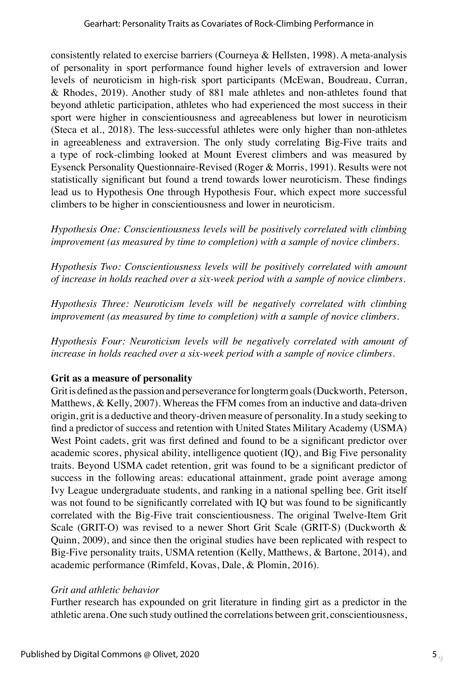consistently related to exercise barriers (Courneya & Hellsten, 1998). A meta-analysis of personality in sport performance found higher levels of extraversion and lower levels of neuroticism in high-risk sport participants (McEwan, Boudreau, Curran, & Rhodes, 2019). Another study of 881 male athletes and non-athletes found that beyond athletic participation, athletes who had experienced the most success in their sport were higher in conscientiousness and agreeableness but lower in neuroticism (Steca et al., 2018). The less-successful athletes were only higher than non-athletes in agreeableness and extraversion. The only study correlating Big-Five traits and a type of rock-climbing looked at Mount Everest climbers and was measured by Eysenck Personality Questionnaire-Revised (Roger & Morris, 1991). Results were not statistically significant but found a trend towards lower neuroticism. These findings lead us to Hypothesis One through Hypothesis Four, which expect more successful climbers to be higher in conscientiousness and lower in neuroticism.

*Hypothesis One: Conscientiousness levels will be positively correlated with climbing improvement (as measured by time to completion) with a sample of novice climbers.* 

*Hypothesis Two: Conscientiousness levels will be positively correlated with amount of increase in holds reached over a six-week period with a sample of novice climbers.* 

*Hypothesis Three: Neuroticism levels will be negatively correlated with climbing improvement (as measured by time to completion) with a sample of novice climbers.* 

*Hypothesis Four: Neuroticism levels will be negatively correlated with amount of increase in holds reached over a six-week period with a sample of novice climbers.*

# **Grit as a measure of personality**

Grit is defined as the passion and perseverance for longterm goals (Duckworth, Peterson, Matthews, & Kelly, 2007). Whereas the FFM comes from an inductive and data-driven origin, grit is a deductive and theory-driven measure of personality. In a study seeking to find a predictor of success and retention with United States Military Academy (USMA) West Point cadets, grit was first defined and found to be a significant predictor over academic scores, physical ability, intelligence quotient (IQ), and Big Five personality traits. Beyond USMA cadet retention, grit was found to be a significant predictor of success in the following areas: educational attainment, grade point average among Ivy League undergraduate students, and ranking in a national spelling bee. Grit itself was not found to be significantly correlated with IQ but was found to be significantly correlated with the Big-Five trait conscientiousness. The original Twelve-Item Grit Scale (GRIT-O) was revised to a newer Short Grit Scale (GRIT-S) (Duckworth & Quinn, 2009), and since then the original studies have been replicated with respect to Big-Five personality traits, USMA retention (Kelly, Matthews, & Bartone, 2014), and academic performance (Rimfeld, Kovas, Dale, & Plomin, 2016).

# *Grit and athletic behavior*

Further research has expounded on grit literature in finding girt as a predictor in the athletic arena. One such study outlined the correlations between grit, conscientiousness,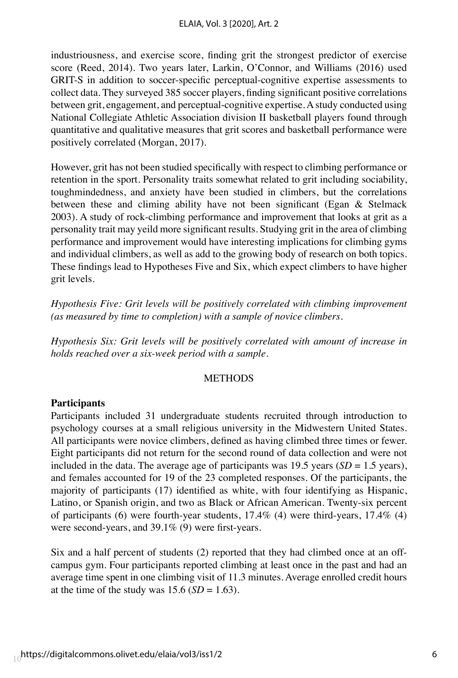industriousness, and exercise score, finding grit the strongest predictor of exercise score (Reed, 2014). Two years later, Larkin, O'Connor, and Williams (2016) used GRIT-S in addition to soccer-specific perceptual-cognitive expertise assessments to collect data. They surveyed 385 soccer players, finding significant positive correlations between grit, engagement, and perceptual-cognitive expertise. A study conducted using National Collegiate Athletic Association division II basketball players found through quantitative and qualitative measures that grit scores and basketball performance were positively correlated (Morgan, 2017).

However, grit has not been studied specifically with respect to climbing performance or retention in the sport. Personality traits somewhat related to grit including sociability, toughmindedness, and anxiety have been studied in climbers, but the correlations between these and climing ability have not been significant (Egan & Stelmack 2003). A study of rock-climbing performance and improvement that looks at grit as a personality trait may yeild more significant results. Studying grit in the area of climbing performance and improvement would have interesting implications for climbing gyms and individual climbers, as well as add to the growing body of research on both topics. These findings lead to Hypotheses Five and Six, which expect climbers to have higher grit levels.

*Hypothesis Five: Grit levels will be positively correlated with climbing improvement (as measured by time to completion) with a sample of novice climbers.*

*Hypothesis Six: Grit levels will be positively correlated with amount of increase in holds reached over a six-week period with a sample.*

#### **METHODS**

#### **Participants**

Participants included 31 undergraduate students recruited through introduction to psychology courses at a small religious university in the Midwestern United States. All participants were novice climbers, defined as having climbed three times or fewer. Eight participants did not return for the second round of data collection and were not included in the data. The average age of participants was 19.5 years ( $SD = 1.5$  years), and females accounted for 19 of the 23 completed responses. Of the participants, the majority of participants (17) identified as white, with four identifying as Hispanic, Latino, or Spanish origin, and two as Black or African American. Twenty-six percent of participants (6) were fourth-year students, 17.4% (4) were third-years, 17.4% (4) were second-years, and 39.1% (9) were first-years.

Six and a half percent of students (2) reported that they had climbed once at an offcampus gym. Four participants reported climbing at least once in the past and had an average time spent in one climbing visit of 11.3 minutes. Average enrolled credit hours at the time of the study was  $15.6$  (*SD* = 1.63).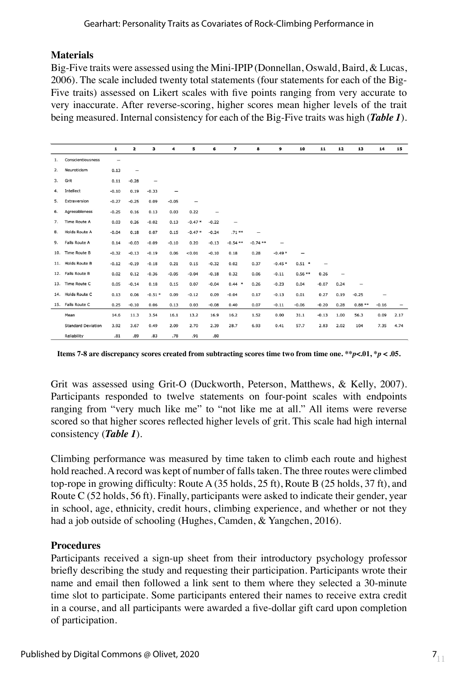# **Materials**

Big-Five traits were assessed using the Mini-IPIP (Donnellan, Oswald, Baird, & Lucas, 2006). The scale included twenty total statements (four statements for each of the Big-Five traits) assessed on Likert scales with five points ranging from very accurate to very inaccurate. After reverse-scoring, higher scores mean higher levels of the trait being measured. Internal consistency for each of the Big-Five traits was high (*Table 1*).

|    |                           | $\mathbf{1}$             | 2                 | з        | 4       | 5                 | 6                 | 7                 | 8         | 9        | 10       | 11      | 12   | 13              | 14                | 15   |
|----|---------------------------|--------------------------|-------------------|----------|---------|-------------------|-------------------|-------------------|-----------|----------|----------|---------|------|-----------------|-------------------|------|
| 1. | Conscientiousness         | $\overline{\phantom{0}}$ |                   |          |         |                   |                   |                   |           |          |          |         |      |                 |                   |      |
| 2. | Neuroticism               | 0.13                     | $\qquad \qquad -$ |          |         |                   |                   |                   |           |          |          |         |      |                 |                   |      |
| 3. | Grit                      | 0.11                     | $-0.28$           | -        |         |                   |                   |                   |           |          |          |         |      |                 |                   |      |
| 4. | Intellect                 | $-0.10$                  | 0.19              | $-0.33$  | -       |                   |                   |                   |           |          |          |         |      |                 |                   |      |
| 5. | Extraversion              | $-0.27$                  | $-0.25$           | 0.09     | $-0.05$ | $\qquad \qquad -$ |                   |                   |           |          |          |         |      |                 |                   |      |
| 6. | Agreeableness             | $-0.25$                  | 0.16              | 0.13     | 0.03    | 0.22              | $\qquad \qquad -$ |                   |           |          |          |         |      |                 |                   |      |
| 7. | Time Route A              | 0.03                     | 0.26              | $-0.02$  | 0.13    | $-0.47*$          | $-0.22$           | $\qquad \qquad -$ |           |          |          |         |      |                 |                   |      |
| 8. | Holds Route A             | $-0.04$                  | 0.18              | 0.07     | 0.15    | $-0.47*$          | $-0.24$           | $.71***$          |           |          |          |         |      |                 |                   |      |
| 9. | Falls Route A             | 0.14                     | $-0.03$           | $-0.09$  | $-0.10$ | 0.20              | $-0.13$           | $-0.54$ **        | $-0.74**$ | -        |          |         |      |                 |                   |      |
|    | 10. Time Route B          | $-0.32$                  | $-0.13$           | $-0.19$  | 0.06    | 0.01              | $-0.10$           | 0.18              | 0.28      | $-0.49*$ |          |         |      |                 |                   |      |
|    | 11. Holds Route B         | $-0.12$                  | $-0.19$           | $-0.18$  | 0.21    | 0.15              | $-0.32$           | 0.02              | 0.37      | $-0.45*$ | $0.51$ * | -       |      |                 |                   |      |
|    | 12. Falls Route B         | 0.02                     | 0.12              | $-0.36$  | $-0.05$ | $-0.04$           | $-0.18$           | 0.32              | 0.06      | $-0.11$  | $0.56**$ | 0.26    |      |                 |                   |      |
|    | 13. Time Route C          | 0.05                     | $-0.14$           | 0.18     | 0.15    | 0.07              | $-0.04$           | $0.44$ *          | 0.26      | $-0.23$  | 0.04     | $-0.07$ | 0.24 | $\qquad \qquad$ |                   |      |
|    | 14. Holds Route C         | 0.13                     | 0.06              | $-0.51*$ | 0.09    | $-0.12$           | 0.09              | $-0.04$           | 0.17      | $-0.13$  | 0.01     | 0.27    | 0.19 | $-0.25$         | $\qquad \qquad -$ |      |
|    | 15. Falls Route C         | 0.25                     | $-0.10$           | 0.06     | 0.13    | 0.03              | $-0.08$           | 0.40              | 0.07      | $-0.11$  | $-0.06$  | $-0.20$ | 0.28 | $0.88**$        | $-0.16$           | -    |
|    | Mean                      | 14.6                     | 11.3              | 3.54     | 16.1    | 13.2              | 16.9              | 16.2              | 1.52      | 0.00     | 31.1     | $-0.13$ | 1.00 | 56.3            | 0.09              | 2.17 |
|    | <b>Standard Deviation</b> | 3.92                     | 3.67              | 0.49     | 2.09    | 2.70              | 2.39              | 28.7              | 6.93      | 0.41     | 57.7     | 2.83    | 2.02 | 104             | 7.35              | 4.74 |
|    | Reliability               | .81                      | .89               | .83      | .78     | .91               | .80               |                   |           |          |          |         |      |                 |                   |      |

**Items 7-8 are discrepancy scores created from subtracting scores time two from time one. \*\****p***<.01, \****p* **< .05.**

Grit was assessed using Grit-O (Duckworth, Peterson, Matthews, & Kelly, 2007). Participants responded to twelve statements on four-point scales with endpoints ranging from "very much like me" to "not like me at all." All items were reverse scored so that higher scores reflected higher levels of grit. This scale had high internal consistency (*Table 1*).

Climbing performance was measured by time taken to climb each route and highest hold reached. A record was kept of number of falls taken. The three routes were climbed top-rope in growing difficulty: Route A (35 holds, 25 ft), Route B (25 holds, 37 ft), and Route C (52 holds, 56 ft). Finally, participants were asked to indicate their gender, year in school, age, ethnicity, credit hours, climbing experience, and whether or not they had a job outside of schooling (Hughes, Camden, & Yangchen, 2016).

# **Procedures**

Participants received a sign-up sheet from their introductory psychology professor briefly describing the study and requesting their participation. Participants wrote their name and email then followed a link sent to them where they selected a 30-minute time slot to participate. Some participants entered their names to receive extra credit in a course, and all participants were awarded a five-dollar gift card upon completion of participation.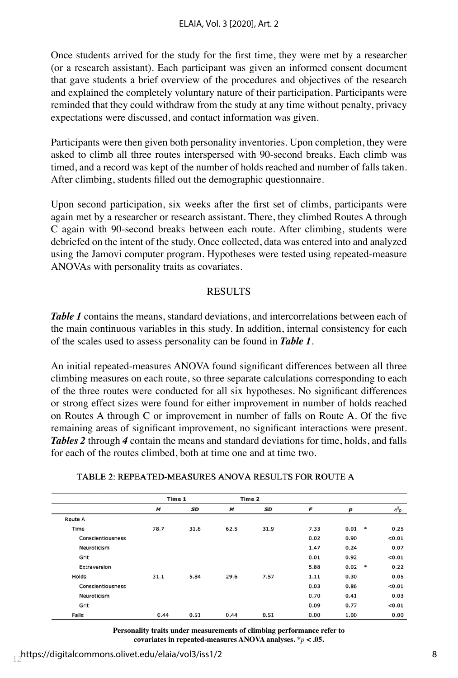Once students arrived for the study for the first time, they were met by a researcher (or a research assistant). Each participant was given an informed consent document that gave students a brief overview of the procedures and objectives of the research and explained the completely voluntary nature of their participation. Participants were reminded that they could withdraw from the study at any time without penalty, privacy expectations were discussed, and contact information was given.

Participants were then given both personality inventories. Upon completion, they were asked to climb all three routes interspersed with 90-second breaks. Each climb was timed, and a record was kept of the number of holds reached and number of falls taken. After climbing, students filled out the demographic questionnaire.

Upon second participation, six weeks after the first set of climbs, participants were again met by a researcher or research assistant. There, they climbed Routes A through C again with 90-second breaks between each route. After climbing, students were debriefed on the intent of the study. Once collected, data was entered into and analyzed using the Jamovi computer program. Hypotheses were tested using repeated-measure ANOVAs with personality traits as covariates.

### **RESULTS**

*Table 1* contains the means, standard deviations, and intercorrelations between each of the main continuous variables in this study. In addition, internal consistency for each of the scales used to assess personality can be found in *Table 1*.

An initial repeated-measures ANOVA found significant differences between all three climbing measures on each route, so three separate calculations corresponding to each of the three routes were conducted for all six hypotheses. No significant differences or strong effect sizes were found for either improvement in number of holds reached on Routes A through C or improvement in number of falls on Route A. Of the five remaining areas of significant improvement, no significant interactions were present. *Tables 2* through *4* contain the means and standard deviations for time, holds, and falls for each of the routes climbed, both at time one and at time two.

|                   | Time 1 |      |      | Time 2 |      |      |                       |
|-------------------|--------|------|------|--------|------|------|-----------------------|
|                   | M      | SD   | M    | SD     | F    | p    | $\eta^2$ <sub>p</sub> |
| <b>Route A</b>    |        |      |      |        |      |      |                       |
| Time              | 78.7   | 31.8 | 62.5 | 31.9   | 7.33 | 0.01 | $\ast$<br>0.25        |
| Conscientiousness |        |      |      |        | 0.02 | 0.90 | < 0.01                |
| Neuroticism       |        |      |      |        | 1.47 | 0.24 | 0.07                  |
| Grit              |        |      |      |        | 0.01 | 0.92 | < 0.01                |
| Extraversion      |        |      |      |        | 5.88 | 0.02 | $\ast$<br>0.22        |
| Holds             | 31.1   | 5.84 | 29.6 | 7.57   | 1.11 | 0.30 | 0.05                  |
| Conscientiousness |        |      |      |        | 0.03 | 0.86 | < 0.01                |
| Neuroticism       |        |      |      |        | 0.70 | 0.41 | 0.03                  |
| Grit              |        |      |      |        | 0.09 | 0.77 | < 0.01                |
| Falls             | 0.44   | 0.51 | 0.44 | 0.51   | 0.00 | 1.00 | 0.00                  |

#### TABLE 2: REPEATED-MEASURES ANOVA RESULTS FOR ROUTE A

**Personality traits under measurements of climbing performance refer to covariates in repeated-measures ANOVA analyses. \****p* **< .05.**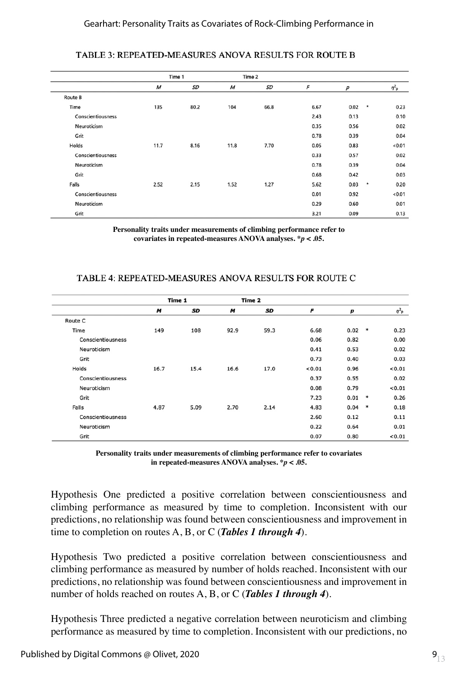|                   | Time 1           |           |                  | Time 2    |      |      |                  |
|-------------------|------------------|-----------|------------------|-----------|------|------|------------------|
|                   | $\boldsymbol{M}$ | <b>SD</b> | $\boldsymbol{M}$ | <b>SD</b> | F    | p    | $\eta_{\rm p}^2$ |
| Route B           |                  |           |                  |           |      |      |                  |
| Time              | 135              | 80.2      | 104              | 66.8      | 6.67 | 0.02 | $\star$<br>0.23  |
| Conscientiousness |                  |           |                  |           | 2.43 | 0.13 | 0.10             |
| Neuroticism       |                  |           |                  |           | 0.35 | 0.56 | 0.02             |
| Grit              |                  |           |                  |           | 0.78 | 0.39 | 0.04             |
| Holds             | 11.7             | 8.16      | 11.8             | 7.70      | 0.05 | 0.83 | < 0.01           |
| Conscientiousness |                  |           |                  |           | 0.33 | 0.57 | 0.02             |
| Neuroticism       |                  |           |                  |           | 0.78 | 0.39 | 0.04             |
| Grit              |                  |           |                  |           | 0.68 | 0.42 | 0.03             |
| Falls             | 2.52             | 2.15      | 1.52             | 1.27      | 5.62 | 0.03 | $\star$<br>0.20  |
| Conscientiousness |                  |           |                  |           | 0.01 | 0.92 | <0.01            |
| Neuroticism       |                  |           |                  |           | 0.29 | 0.60 | 0.01             |
| Grit              |                  |           |                  |           | 3.21 | 0.09 | 0.13             |

#### TABLE 3: REPEATED-MEASURES ANOVA RESULTS FOR ROUTE B

**Personality traits under measurements of climbing performance refer to covariates in repeated-measures ANOVA analyses. \****p* **< .05.**

#### TABLE 4: REPEATED-MEASURES ANOVA RESULTS FOR ROUTE C

|                   |      | Time 1 |      | Time 2 |        |          |        |                       |
|-------------------|------|--------|------|--------|--------|----------|--------|-----------------------|
|                   | M    | SD     | M    | SD     | F      | p        |        | $\eta^2$ <sub>p</sub> |
| Route C           |      |        |      |        |        |          |        |                       |
| Time              | 149  | 108    | 92.9 | 59.3   | 6.68   | 0.02     | $\ast$ | 0.23                  |
| Conscientiousness |      |        |      |        | 0.06   | 0.82     |        | 0.00                  |
| Neuroticism       |      |        |      |        | 0.41   | 0.53     |        | 0.02                  |
| Grit              |      |        |      |        | 0.73   | 0.40     |        | 0.03                  |
| Holds             | 16.7 | 15.4   | 16.6 | 17.0   | < 0.01 | 0.96     |        | < 0.01                |
| Conscientiousness |      |        |      |        | 0.37   | 0.55     |        | 0.02                  |
| Neuroticism       |      |        |      |        | 0.08   | 0.79     |        | 0.01                  |
| Grit              |      |        |      |        | 7.23   | 0.01     | $\ast$ | 0.26                  |
| Falls             | 4.87 | 5.09   | 2.70 | 2.14   | 4.83   | $0.04$ * |        | 0.18                  |
| Conscientiousness |      |        |      |        | 2.60   | 0.12     |        | 0.11                  |
| Neuroticism       |      |        |      |        | 0.22   | 0.64     |        | 0.01                  |
| Grit              |      |        |      |        | 0.07   | 0.80     |        | < 0.01                |

**Personality traits under measurements of climbing performance refer to covariates in repeated-measures ANOVA analyses. \****p* **< .05.**

Hypothesis One predicted a positive correlation between conscientiousness and climbing performance as measured by time to completion. Inconsistent with our predictions, no relationship was found between conscientiousness and improvement in time to completion on routes A, B, or C (*Tables 1 through 4*).

Hypothesis Two predicted a positive correlation between conscientiousness and climbing performance as measured by number of holds reached. Inconsistent with our predictions, no relationship was found between conscientiousness and improvement in number of holds reached on routes A, B, or C (*Tables 1 through 4*).

Hypothesis Three predicted a negative correlation between neuroticism and climbing performance as measured by time to completion. Inconsistent with our predictions, no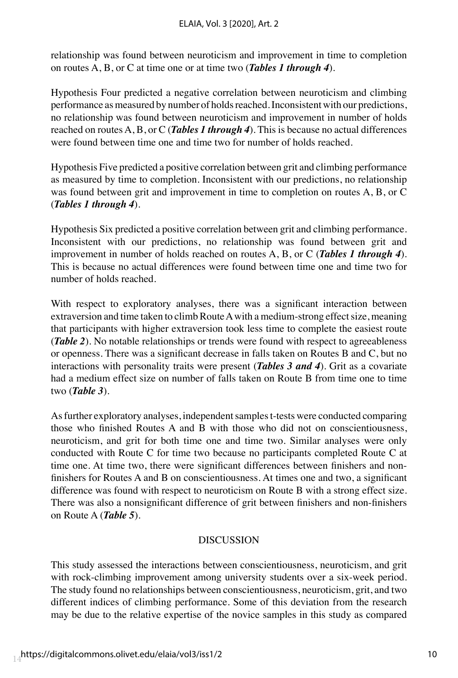relationship was found between neuroticism and improvement in time to completion on routes A, B, or C at time one or at time two (*Tables 1 through 4*).

Hypothesis Four predicted a negative correlation between neuroticism and climbing performance as measured by number of holds reached. Inconsistent with our predictions, no relationship was found between neuroticism and improvement in number of holds reached on routes A, B, or C (*Tables 1 through 4*). This is because no actual differences were found between time one and time two for number of holds reached.

Hypothesis Five predicted a positive correlation between grit and climbing performance as measured by time to completion. Inconsistent with our predictions, no relationship was found between grit and improvement in time to completion on routes A, B, or C (*Tables 1 through 4*).

Hypothesis Six predicted a positive correlation between grit and climbing performance. Inconsistent with our predictions, no relationship was found between grit and improvement in number of holds reached on routes A, B, or C (*Tables 1 through 4*). This is because no actual differences were found between time one and time two for number of holds reached.

With respect to exploratory analyses, there was a significant interaction between extraversion and time taken to climb Route A with a medium-strong effect size, meaning that participants with higher extraversion took less time to complete the easiest route (*Table 2*). No notable relationships or trends were found with respect to agreeableness or openness. There was a significant decrease in falls taken on Routes B and C, but no interactions with personality traits were present (*Tables 3 and 4*). Grit as a covariate had a medium effect size on number of falls taken on Route B from time one to time two (*Table 3*).

As further exploratory analyses, independent samples t-tests were conducted comparing those who finished Routes A and B with those who did not on conscientiousness, neuroticism, and grit for both time one and time two. Similar analyses were only conducted with Route C for time two because no participants completed Route C at time one. At time two, there were significant differences between finishers and nonfinishers for Routes A and B on conscientiousness. At times one and two, a significant difference was found with respect to neuroticism on Route B with a strong effect size. There was also a nonsignificant difference of grit between finishers and non-finishers on Route A (*Table 5*).

# DISCUSSION

This study assessed the interactions between conscientiousness, neuroticism, and grit with rock-climbing improvement among university students over a six-week period. The study found no relationships between conscientiousness, neuroticism, grit, and two different indices of climbing performance. Some of this deviation from the research may be due to the relative expertise of the novice samples in this study as compared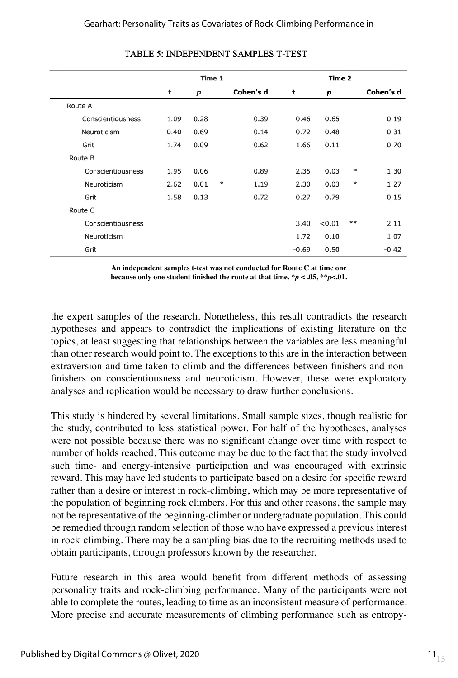|                   |      | Time 1 |        | Time 2    |         |        |      |           |
|-------------------|------|--------|--------|-----------|---------|--------|------|-----------|
|                   | t    | p      |        | Cohen's d | t       | p      |      | Cohen's d |
| Route A           |      |        |        |           |         |        |      |           |
| Conscientiousness | 1.09 | 0.28   |        | 0.39      | 0.46    | 0.65   |      | 0.19      |
| Neuroticism       | 0.40 | 0.69   |        | 0.14      | 0.72    | 0.48   |      | 0.31      |
| Grit              | 1.74 | 0.09   |        | 0.62      | 1.66    | 0.11   |      | 0.70      |
| Route B           |      |        |        |           |         |        |      |           |
| Conscientiousness | 1.95 | 0.06   |        | 0.89      | 2.35    | 0.03   | ∗    | 1.30      |
| Neuroticism       | 2.62 | 0.01   | $\ast$ | 1.19      | 2.30    | 0.03   | ∗    | 1.27      |
| Grit              | 1.58 | 0.13   |        | 0.72      | 0.27    | 0.79   |      | 0.15      |
| Route C           |      |        |        |           |         |        |      |           |
| Conscientiousness |      |        |        |           | 3.40    | < 0.01 | $**$ | 2.11      |
| Neuroticism       |      |        |        |           | 1.72    | 0.10   |      | 1.07      |
| Grit              |      |        |        |           | $-0.69$ | 0.50   |      | $-0.42$   |

#### **TABLE 5: INDEPENDENT SAMPLES T-TEST**

**An independent samples t-test was not conducted for Route C at time one because only one student finished the route at that time. \****p* **< .05, \*\****p***<.01.**

the expert samples of the research. Nonetheless, this result contradicts the research hypotheses and appears to contradict the implications of existing literature on the topics, at least suggesting that relationships between the variables are less meaningful than other research would point to. The exceptions to this are in the interaction between extraversion and time taken to climb and the differences between finishers and nonfinishers on conscientiousness and neuroticism. However, these were exploratory analyses and replication would be necessary to draw further conclusions.

This study is hindered by several limitations. Small sample sizes, though realistic for the study, contributed to less statistical power. For half of the hypotheses, analyses were not possible because there was no significant change over time with respect to number of holds reached. This outcome may be due to the fact that the study involved such time- and energy-intensive participation and was encouraged with extrinsic reward. This may have led students to participate based on a desire for specific reward rather than a desire or interest in rock-climbing, which may be more representative of the population of beginning rock climbers. For this and other reasons, the sample may not be representative of the beginning-climber or undergraduate population. This could be remedied through random selection of those who have expressed a previous interest in rock-climbing. There may be a sampling bias due to the recruiting methods used to obtain participants, through professors known by the researcher.

Future research in this area would benefit from different methods of assessing personality traits and rock-climbing performance. Many of the participants were not able to complete the routes, leading to time as an inconsistent measure of performance. More precise and accurate measurements of climbing performance such as entropy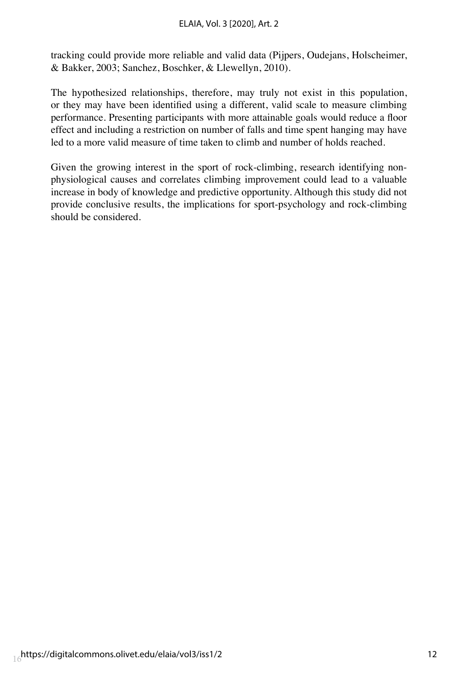tracking could provide more reliable and valid data (Pijpers, Oudejans, Holscheimer, & Bakker, 2003; Sanchez, Boschker, & Llewellyn, 2010).

The hypothesized relationships, therefore, may truly not exist in this population, or they may have been identified using a different, valid scale to measure climbing performance. Presenting participants with more attainable goals would reduce a floor effect and including a restriction on number of falls and time spent hanging may have led to a more valid measure of time taken to climb and number of holds reached.

Given the growing interest in the sport of rock-climbing, research identifying nonphysiological causes and correlates climbing improvement could lead to a valuable increase in body of knowledge and predictive opportunity. Although this study did not provide conclusive results, the implications for sport-psychology and rock-climbing should be considered.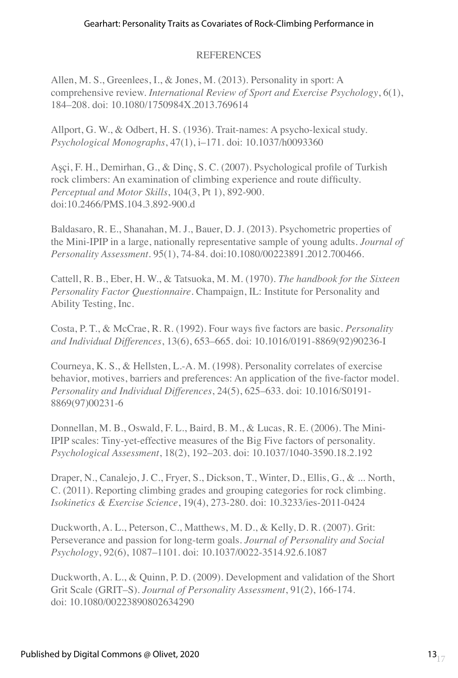# **REFERENCES**

Allen, M. S., Greenlees, I., & Jones, M. (2013). Personality in sport: A comprehensive review. *International Review of Sport and Exercise Psychology*, 6(1), 184–208. doi: 10.1080/1750984X.2013.769614

Allport, G. W., & Odbert, H. S. (1936). Trait-names: A psycho-lexical study. *Psychological Monographs*, 47(1), i–171. doi: 10.1037/h0093360

Aşçi, F. H., Demirhan, G., & Dinç, S. C. (2007). Psychological profile of Turkish rock climbers: An examination of climbing experience and route difficulty. *Perceptual and Motor Skills*, 104(3, Pt 1), 892-900. doi:10.2466/PMS.104.3.892-900.d

Baldasaro, R. E., Shanahan, M. J., Bauer, D. J. (2013). Psychometric properties of the Mini-IPIP in a large, nationally representative sample of young adults. *Journal of Personality Assessment.* 95(1), 74-84. doi:10.1080/00223891.2012.700466.

Cattell, R. B., Eber, H. W., & Tatsuoka, M. M. (1970). *The handbook for the Sixteen Personality Factor Questionnaire*. Champaign, IL: Institute for Personality and Ability Testing, Inc.

Costa, P. T., & McCrae, R. R. (1992). Four ways five factors are basic. *Personality and Individual Differences*, 13(6), 653–665. doi: 10.1016/0191-8869(92)90236-I

Courneya, K. S., & Hellsten, L.-A. M. (1998). Personality correlates of exercise behavior, motives, barriers and preferences: An application of the five-factor model. *Personality and Individual Differences*, 24(5), 625–633. doi: 10.1016/S0191- 8869(97)00231-6

Donnellan, M. B., Oswald, F. L., Baird, B. M., & Lucas, R. E. (2006). The Mini-IPIP scales: Tiny-yet-effective measures of the Big Five factors of personality. *Psychological Assessment*, 18(2), 192–203. doi: 10.1037/1040-3590.18.2.192

Draper, N., Canalejo, J. C., Fryer, S., Dickson, T., Winter, D., Ellis, G., & ... North, C. (2011). Reporting climbing grades and grouping categories for rock climbing. *Isokinetics & Exercise Science*, 19(4), 273-280. doi: 10.3233/ies-2011-0424

Duckworth, A. L., Peterson, C., Matthews, M. D., & Kelly, D. R. (2007). Grit: Perseverance and passion for long-term goals. *Journal of Personality and Social Psychology*, 92(6), 1087–1101. doi: 10.1037/0022-3514.92.6.1087

Duckworth, A. L., & Quinn, P. D. (2009). Development and validation of the Short Grit Scale (GRIT–S). *Journal of Personality Assessment*, 91(2), 166-174. doi: 10.1080/00223890802634290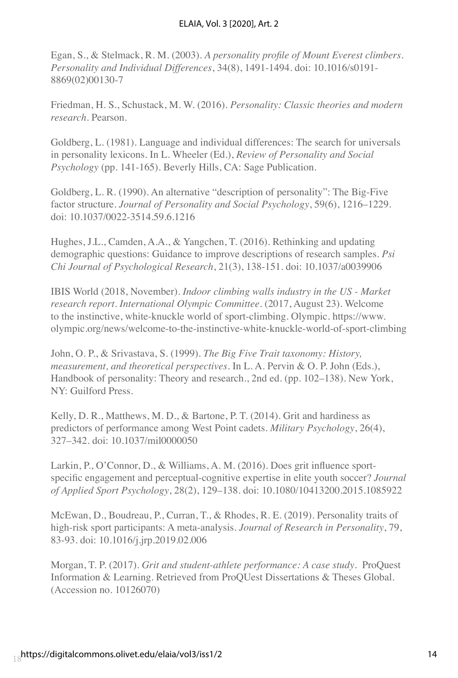Egan, S., & Stelmack, R. M. (2003). *A personality profile of Mount Everest climbers. Personality and Individual Differences*, 34(8), 1491-1494. doi: 10.1016/s0191- 8869(02)00130-7

Friedman, H. S., Schustack, M. W. (2016). *Personality: Classic theories and modern research*. Pearson.

Goldberg, L. (1981). Language and individual differences: The search for universals in personality lexicons. In L. Wheeler (Ed.), *Review of Personality and Social Psychology* (pp. 141-165). Beverly Hills, CA: Sage Publication.

Goldberg, L. R. (1990). An alternative "description of personality": The Big-Five factor structure. *Journal of Personality and Social Psychology*, 59(6), 1216–1229. doi: 10.1037/0022-3514.59.6.1216

Hughes, J.L., Camden, A.A., & Yangchen, T. (2016). Rethinking and updating demographic questions: Guidance to improve descriptions of research samples. *Psi Chi Journal of Psychological Research*, 21(3), 138-151. doi: 10.1037/a0039906

IBIS World (2018, November). *Indoor climbing walls industry in the US - Market research report. International Olympic Committee*. (2017, August 23). Welcome to the instinctive, white-knuckle world of sport-climbing. Olympic. https://www. olympic.org/news/welcome-to-the-instinctive-white-knuckle-world-of-sport-climbing

John, O. P., & Srivastava, S. (1999). *The Big Five Trait taxonomy: History, measurement, and theoretical perspectives*. In L. A. Pervin & O. P. John (Eds.), Handbook of personality: Theory and research., 2nd ed. (pp. 102–138). New York, NY: Guilford Press.

Kelly, D. R., Matthews, M. D., & Bartone, P. T. (2014). Grit and hardiness as predictors of performance among West Point cadets. *Military Psychology*, 26(4), 327–342. doi: 10.1037/mil0000050

Larkin, P., O'Connor, D., & Williams, A. M. (2016). Does grit influence sportspecific engagement and perceptual-cognitive expertise in elite youth soccer? *Journal of Applied Sport Psychology*, 28(2), 129–138. doi: 10.1080/10413200.2015.1085922

McEwan, D., Boudreau, P., Curran, T., & Rhodes, R. E. (2019). Personality traits of high-risk sport participants: A meta-analysis. *Journal of Research in Personality*, 79, 83-93. doi: 10.1016/j.jrp.2019.02.006

Morgan, T. P. (2017). *Grit and student-athlete performance: A case study*. ProQuest Information & Learning. Retrieved from ProQUest Dissertations & Theses Global. (Accession no. 10126070)